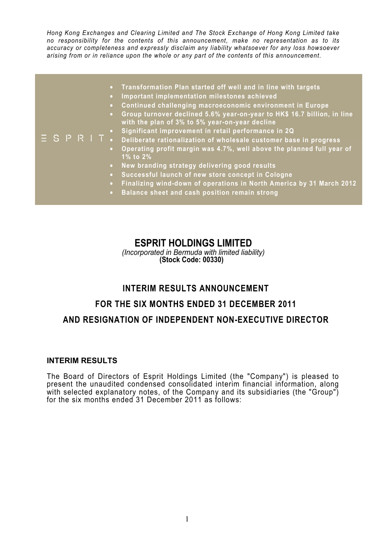*Hong Kong Exchanges and Clearing Limited and The Stock Exchange of Hong Kong Limited take no responsibility for the contents of this announcement, make no representation as to its accuracy or completeness and expressly disclaim any liability whatsoever for any loss howsoever arising from or in reliance upon the whole or any part of the contents of this announcement.* 

|  | • Transformation Plan started off well and in line with targets<br>Important implementation milestones achieved<br>$\bullet$<br>Continued challenging macroeconomic environment in Europe<br>$\bullet$<br>Group turnover declined 5.6% year-on-year to HK\$ 16.7 billion, in line<br>$\bullet$<br>with the plan of 3% to 5% year-on-year decline<br>• Significant improvement in retail performance in 2Q<br>$\overline{z}$ $\overline{S}$ $\overline{P}$ $\overline{R}$ $\overline{I}$ . Deliberate rationalization of wholesale customer base in progress<br>• Operating profit margin was 4.7%, well above the planned full year of<br>1% to 2%<br>New branding strategy delivering good results<br>$\bullet$ .<br>Successful launch of new store concept in Cologne<br>$\bullet$ .<br>Finalizing wind-down of operations in North America by 31 March 2012<br>$\bullet$<br>Balance sheet and cash position remain strong<br>$\bullet$ . |
|--|---------------------------------------------------------------------------------------------------------------------------------------------------------------------------------------------------------------------------------------------------------------------------------------------------------------------------------------------------------------------------------------------------------------------------------------------------------------------------------------------------------------------------------------------------------------------------------------------------------------------------------------------------------------------------------------------------------------------------------------------------------------------------------------------------------------------------------------------------------------------------------------------------------------------------------------------|
|--|---------------------------------------------------------------------------------------------------------------------------------------------------------------------------------------------------------------------------------------------------------------------------------------------------------------------------------------------------------------------------------------------------------------------------------------------------------------------------------------------------------------------------------------------------------------------------------------------------------------------------------------------------------------------------------------------------------------------------------------------------------------------------------------------------------------------------------------------------------------------------------------------------------------------------------------------|

## **ESPRIT HOLDINGS LIMITED**

*(Incorporated in Bermuda with limited liability)* **(Stock Code: 00330)**

## **INTERIM RESULTS ANNOUNCEMENT**

# **FOR THE SIX MONTHS ENDED 31 DECEMBER 2011 AND RESIGNATION OF INDEPENDENT NON-EXECUTIVE DIRECTOR**

### **INTERIM RESULTS**

The Board of Directors of Esprit Holdings Limited (the "Company") is pleased to present the unaudited condensed consolidated interim financial information, along with selected explanatory notes, of the Company and its subsidiaries (the "Group") for the six months ended 31 December 2011 as follows: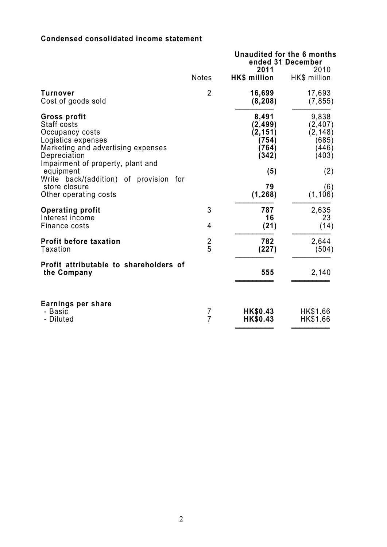### **Condensed consolidated income statement**

|                                                                                                                                                                                     | <b>Notes</b>   | Unaudited for the 6 months<br>ended 31 December<br>2011<br>HK\$ million | 2010<br>HK\$ million                                            |
|-------------------------------------------------------------------------------------------------------------------------------------------------------------------------------------|----------------|-------------------------------------------------------------------------|-----------------------------------------------------------------|
| Turnover<br>Cost of goods sold                                                                                                                                                      | $\overline{2}$ | 16,699<br>(8, 208)                                                      | 17,693<br>(7, 855)                                              |
| <b>Gross profit</b><br>Staff costs<br>Occupancy costs<br>Logistics expenses<br>Marketing and advertising expenses<br>Depreciation<br>Impairment of property, plant and<br>equipment |                | 8,491<br>(2, 499)<br>(2, 151)<br>(754)<br>(764)<br>(342)<br>(5)         | 9,838<br>(2, 407)<br>(2, 148)<br>(685)<br>(446)<br>(403)<br>(2) |
| Write back/(addition) of provision for<br>store closure<br>Other operating costs                                                                                                    |                | 79<br>(1, 268)                                                          | (6)<br>(1, 106)                                                 |
| <b>Operating profit</b><br>Interest income<br>Finance costs                                                                                                                         | 3<br>4         | 787<br>16<br>(21)                                                       | 2,635<br>23<br>(14)                                             |
| <b>Profit before taxation</b><br>Taxation                                                                                                                                           | $rac{2}{5}$    | 782<br>(227)                                                            | 2,644<br>(504)                                                  |
| Profit attributable to shareholders of<br>the Company                                                                                                                               |                | 555                                                                     | 2,140                                                           |
| Earnings per share<br>- Basic<br>- Diluted                                                                                                                                          | $\frac{7}{7}$  | HK\$0.43<br>HK\$0.43                                                    | HK\$1.66<br>HK\$1.66                                            |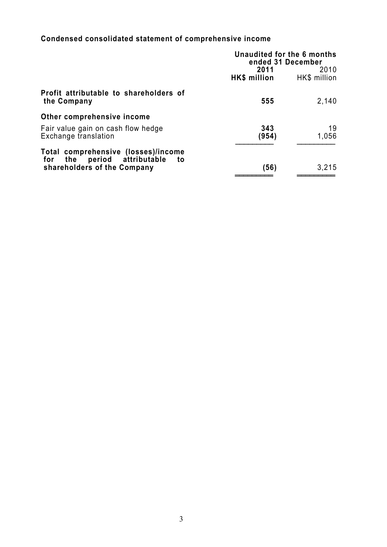## **Condensed consolidated statement of comprehensive income**

| Unaudited for the 6 months<br>ended 31 December |                      |
|-------------------------------------------------|----------------------|
| 2011<br>HK\$ million                            | 2010<br>HK\$ million |
| 555                                             | 2,140                |
|                                                 |                      |
| 343<br>(954)                                    | 19<br>1,056          |
| (56)                                            | 3,215                |
|                                                 |                      |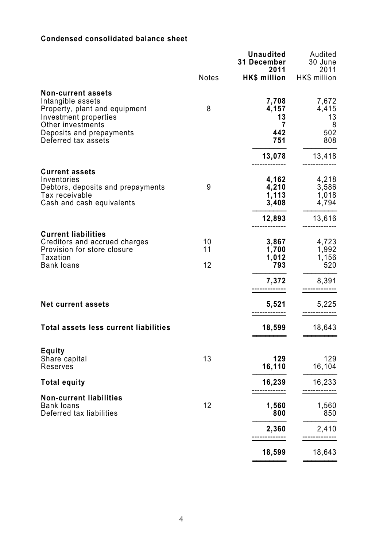### **Condensed consolidated balance sheet**

|                                                                                                                                    |                | <b>Unaudited</b><br><b>31 December</b><br>2011 | Audited<br>30 June<br>2011       |
|------------------------------------------------------------------------------------------------------------------------------------|----------------|------------------------------------------------|----------------------------------|
|                                                                                                                                    | <b>Notes</b>   | HK\$ million                                   | HK\$ million                     |
| <b>Non-current assets</b><br>Intangible assets<br>Property, plant and equipment<br>Investment properties                           | 8              | 7,708<br>4,157<br>13                           | 7,672<br>4,415<br>13             |
| Other investments<br>Deposits and prepayments<br>Deferred tax assets                                                               |                | 7<br>442<br>751                                | 8<br>502<br>808                  |
|                                                                                                                                    |                | 13,078                                         | 13,418                           |
| <b>Current assets</b><br>Inventories<br>Debtors, deposits and prepayments<br>Tax receivable<br>Cash and cash equivalents           | 9              | 4,162<br>4,210<br>1,113<br>3,408               | 4,218<br>3,586<br>1,018<br>4,794 |
|                                                                                                                                    |                | 12,893                                         | 13,616                           |
| <b>Current liabilities</b><br>Creditors and accrued charges<br>Provision for store closure<br><b>Taxation</b><br><b>Bank loans</b> | 10<br>11<br>12 | 3,867<br>1,700<br>1,012<br>793                 | 4,723<br>1,992<br>1,156<br>520   |
|                                                                                                                                    |                | 7,372                                          | 8,391                            |
| <b>Net current assets</b>                                                                                                          |                | 5,521                                          | 5,225                            |
| <b>Total assets less current liabilities</b>                                                                                       |                | 18,599                                         | 18,643                           |
| <b>Equity</b><br>Share capital<br>Reserves                                                                                         | 13             | 129<br>16,110                                  | 129<br>16,104                    |
| <b>Total equity</b>                                                                                                                |                | 16,239                                         | 16,233                           |
| <b>Non-current liabilities</b><br><b>Bank loans</b><br>Deferred tax liabilities                                                    | 12             | 1,560<br>800                                   | 1,560<br>850                     |
|                                                                                                                                    |                | 2,360                                          | 2,410                            |
|                                                                                                                                    |                | 18,599                                         | 18,643                           |
|                                                                                                                                    |                |                                                |                                  |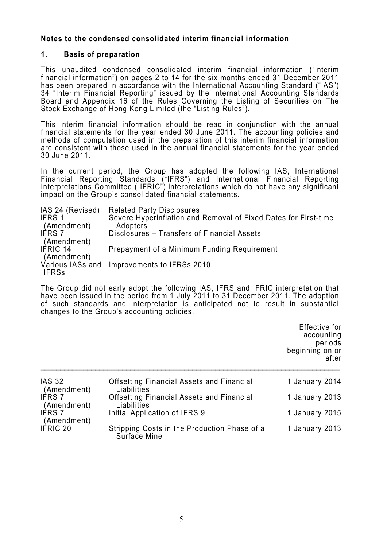### **Notes to the condensed consolidated interim financial information**

#### **1. Basis of preparation**

This unaudited condensed consolidated interim financial information ("interim financial information") on pages 2 to 14 for the six months ended 31 December 2011 has been prepared in accordance with the International Accounting Standard ("IAS") 34 "Interim Financial Reporting" issued by the International Accounting Standards Board and Appendix 16 of the Rules Governing the Listing of Securities on The Stock Exchange of Hong Kong Limited (the "Listing Rules").

This interim financial information should be read in conjunction with the annual financial statements for the year ended 30 June 2011. The accounting policies and methods of computation used in the preparation of this interim financial information are consistent with those used in the annual financial statements for the year ended 30 June 2011.

In the current period, the Group has adopted the following IAS, International Financial Reporting Standards ("IFRS") and International Financial Reporting Interpretations Committee ("IFRIC") interpretations which do not have any significant impact on the Group's consolidated financial statements.

| IAS 24 (Revised)<br>IFRS 1<br>(Amendment) | <b>Related Party Disclosures</b><br>Severe Hyperinflation and Removal of Fixed Dates for First-time<br>Adopters |
|-------------------------------------------|-----------------------------------------------------------------------------------------------------------------|
| <b>IFRS 7</b><br>(Amendment)              | Disclosures – Transfers of Financial Assets                                                                     |
| IFRIC 14<br>(Amendment)                   | Prepayment of a Minimum Funding Requirement                                                                     |
| Various IASs and<br><b>IFRSs</b>          | Improvements to IFRSs 2010                                                                                      |

The Group did not early adopt the following IAS, IFRS and IFRIC interpretation that have been issued in the period from 1 July 2011 to 31 December 2011. The adoption of such standards and interpretation is anticipated not to result in substantial changes to the Group's accounting policies.

|                              |                                                                 | Effective for<br>accounting<br>periods<br>beginning on or<br>after |
|------------------------------|-----------------------------------------------------------------|--------------------------------------------------------------------|
| <b>IAS 32</b><br>(Amendment) | <b>Offsetting Financial Assets and Financial</b><br>Liabilities | 1 January 2014                                                     |
| <b>IFRS 7</b><br>(Amendment) | <b>Offsetting Financial Assets and Financial</b><br>Liabilities | 1 January 2013                                                     |
| <b>IFRS7</b><br>(Amendment)  | Initial Application of IFRS 9                                   | 1 January 2015                                                     |
| <b>IFRIC 20</b>              | Stripping Costs in the Production Phase of a<br>Surface Mine    | 1 January 2013                                                     |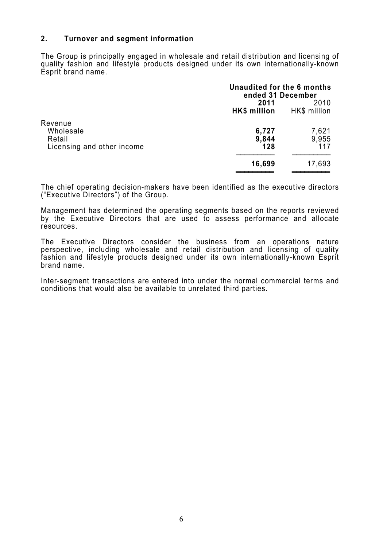### **2. Turnover and segment information**

The Group is principally engaged in wholesale and retail distribution and licensing of quality fashion and lifestyle products designed under its own internationally-known Esprit brand name.

|                                                              | Unaudited for the 6 months<br>ended 31 December |                       |
|--------------------------------------------------------------|-------------------------------------------------|-----------------------|
|                                                              | 2011<br>2010<br>HK\$ million<br>HK\$ million    |                       |
| Revenue<br>Wholesale<br>Retail<br>Licensing and other income | 6,727<br>9,844<br>128                           | 7,621<br>9,955<br>117 |
|                                                              | 16,699                                          | 17,693                |

The chief operating decision-makers have been identified as the executive directors ("Executive Directors") of the Group.

Management has determined the operating segments based on the reports reviewed by the Executive Directors that are used to assess performance and allocate resources.

The Executive Directors consider the business from an operations nature perspective, including wholesale and retail distribution and licensing of quality fashion and lifestyle products designed under its own internationally-known Esprit brand name.

Inter-segment transactions are entered into under the normal commercial terms and conditions that would also be available to unrelated third parties.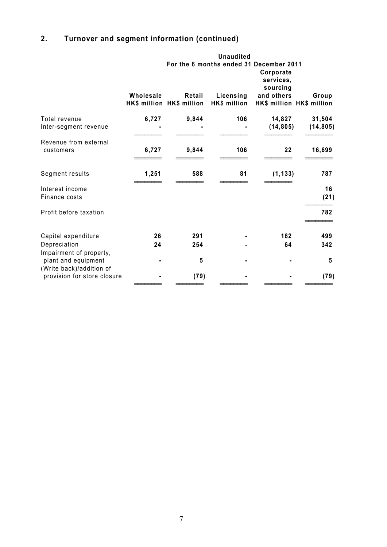## **2. Turnover and segment information (continued)**

|                                                                            |           |                                     | <b>Unaudited</b>          |                                                                   |                                    |  |
|----------------------------------------------------------------------------|-----------|-------------------------------------|---------------------------|-------------------------------------------------------------------|------------------------------------|--|
|                                                                            |           |                                     |                           | For the 6 months ended 31 December 2011<br>Corporate<br>services, |                                    |  |
|                                                                            | Wholesale | Retail<br>HK\$ million HK\$ million | Licensing<br>HK\$ million | sourcing<br>and others                                            | Group<br>HK\$ million HK\$ million |  |
| Total revenue<br>Inter-segment revenue                                     | 6,727     | 9,844                               | 106                       | 14,827<br>(14, 805)                                               | 31,504<br>(14, 805)                |  |
| Revenue from external<br>customers                                         | 6,727     | 9,844                               | 106                       | 22                                                                | 16,699                             |  |
| Segment results                                                            | 1,251     | 588                                 | 81                        | (1, 133)                                                          | 787                                |  |
| Interest income<br>Finance costs                                           |           |                                     |                           |                                                                   | 16<br>(21)                         |  |
| Profit before taxation                                                     |           |                                     |                           |                                                                   | 782                                |  |
| Capital expenditure                                                        | 26        | 291                                 |                           | 182                                                               | 499                                |  |
| Depreciation                                                               | 24        | 254                                 |                           | 64                                                                | 342                                |  |
| Impairment of property,<br>plant and equipment<br>(Write back)/addition of |           | 5                                   |                           |                                                                   | 5                                  |  |
| provision for store closure                                                |           | (79)                                |                           |                                                                   | (79)                               |  |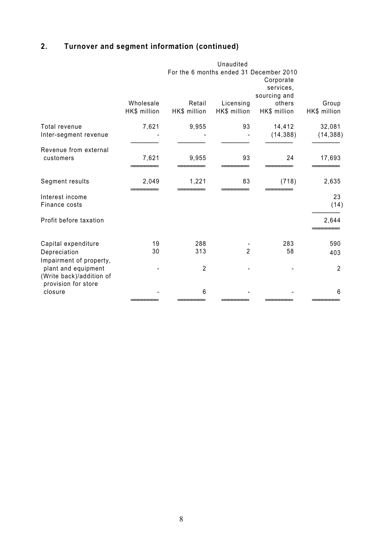## **2. Turnover and segment information (continued)**

|                                                                            |                                                                                   |                        | Unaudited                 |                        |                       |
|----------------------------------------------------------------------------|-----------------------------------------------------------------------------------|------------------------|---------------------------|------------------------|-----------------------|
|                                                                            | For the 6 months ended 31 December 2010<br>Corporate<br>services,<br>sourcing and |                        |                           |                        |                       |
|                                                                            | Wholesale<br>HK\$ million                                                         | Retail<br>HK\$ million | Licensing<br>HK\$ million | others<br>HK\$ million | Group<br>HK\$ million |
| Total revenue<br>Inter-segment revenue                                     | 7,621                                                                             | 9,955                  | 93                        | 14,412<br>(14, 388)    | 32,081<br>(14, 388)   |
| Revenue from external<br>customers                                         | 7,621                                                                             | 9,955                  | 93                        | 24                     | 17,693                |
| Segment results                                                            | 2,049                                                                             | 1,221                  | 83                        | (718)                  | 2,635                 |
| Interest income<br>Finance costs                                           |                                                                                   |                        |                           |                        | 23<br>(14)            |
| Profit before taxation                                                     |                                                                                   |                        |                           |                        | 2,644                 |
| Capital expenditure<br>Depreciation                                        | 19<br>30                                                                          | 288<br>313             | $\overline{2}$            | 283<br>58              | 590<br>403            |
| Impairment of property,<br>plant and equipment<br>(Write back)/addition of |                                                                                   | $\overline{2}$         |                           |                        | $\overline{2}$        |
| provision for store<br>closure                                             |                                                                                   | 6                      |                           |                        | 6                     |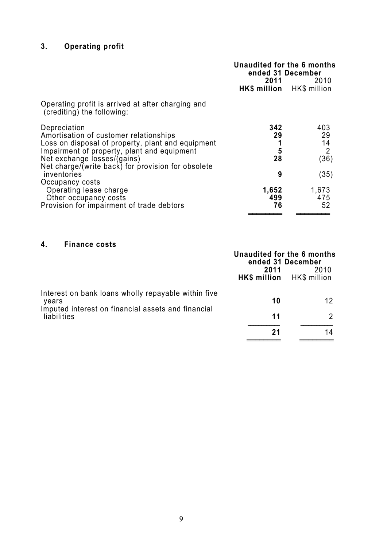## **3. Operating profit**

|                                                                                                                                                                                                                                                                | Unaudited for the 6 months<br>ended 31 December<br>2011 — 201<br>2010<br>HK\$ million HK\$ million |                                                   |
|----------------------------------------------------------------------------------------------------------------------------------------------------------------------------------------------------------------------------------------------------------------|----------------------------------------------------------------------------------------------------|---------------------------------------------------|
| Operating profit is arrived at after charging and<br>(crediting) the following:                                                                                                                                                                                |                                                                                                    |                                                   |
| Depreciation<br>Amortisation of customer relationships<br>Loss on disposal of property, plant and equipment<br>Impairment of property, plant and equipment<br>Net exchange losses/(gains)<br>Net charge/(write back) for provision for obsolete<br>inventories | 342<br>29<br>1<br>5<br>28<br>9                                                                     | 403<br>29<br>14<br>$\overline{2}$<br>(36)<br>(35) |
| Occupancy costs<br>Operating lease charge<br>Other occupancy costs<br>Provision for impairment of trade debtors                                                                                                                                                | 1,652<br>499<br>76                                                                                 | 1,673<br>475<br>52                                |

### **4. Finance costs**

|                                                                                                                    | Unaudited for the 6 months<br>ended 31 December |      |
|--------------------------------------------------------------------------------------------------------------------|-------------------------------------------------|------|
|                                                                                                                    | 2011<br>HK\$ million HK\$ million               | 2010 |
| Interest on bank loans wholly repayable within five<br>years<br>Imputed interest on financial assets and financial | 10                                              | 12   |
| liabilities                                                                                                        | 11                                              |      |
|                                                                                                                    | 21                                              | 14   |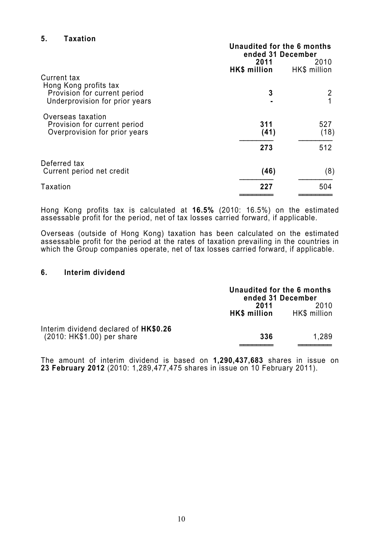### **5. Taxation**

|                                                                                                        | Unaudited for the 6 months<br>ended 31 December<br>2011<br>2010 |              |
|--------------------------------------------------------------------------------------------------------|-----------------------------------------------------------------|--------------|
|                                                                                                        | HK\$ million                                                    | HK\$ million |
| Current tax<br>Hong Kong profits tax<br>Provision for current period<br>Underprovision for prior years | 3                                                               |              |
| Overseas taxation<br>Provision for current period<br>Overprovision for prior years                     | 311<br>(41)                                                     | 527<br>(18)  |
|                                                                                                        | 273                                                             | 512          |
| Deferred tax<br>Current period net credit                                                              | (46)                                                            | (8)          |
| <b>Taxation</b>                                                                                        | 227                                                             | 504          |
|                                                                                                        |                                                                 |              |

Hong Kong profits tax is calculated at **16.5%** (2010: 16.5%) on the estimated assessable profit for the period, net of tax losses carried forward, if applicable.

Overseas (outside of Hong Kong) taxation has been calculated on the estimated assessable profit for the period at the rates of taxation prevailing in the countries in which the Group companies operate, net of tax losses carried forward, if applicable.

#### **6. Interim dividend**

|                                       | Unaudited for the 6 months<br>ended 31 December |              |
|---------------------------------------|-------------------------------------------------|--------------|
|                                       | 2011                                            | 2010         |
|                                       | HK\$ million                                    | HK\$ million |
| Interim dividend declared of HK\$0.26 |                                                 |              |
| (2010: HK\$1.00) per share            | 336                                             | 1,289        |
|                                       |                                                 |              |

The amount of interim dividend is based on **1,290,437,683** shares in issue on **23 February 2012** (2010: 1,289,477,475 shares in issue on 10 February 2011).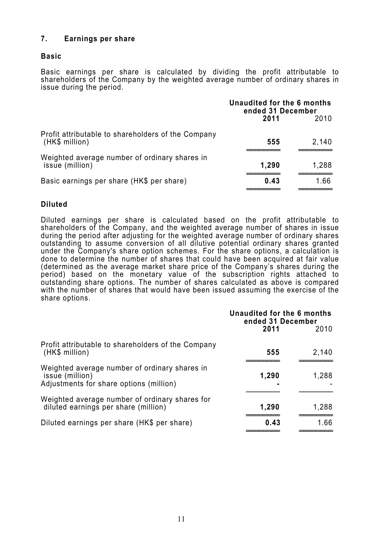### **7. Earnings per share**

### **Basic**

Basic earnings per share is calculated by dividing the profit attributable to shareholders of the Company by the weighted average number of ordinary shares in issue during the period.

|                                                                      | Unaudited for the 6 months<br>ended 31 December |       |
|----------------------------------------------------------------------|-------------------------------------------------|-------|
|                                                                      | 2011                                            | 2010  |
| Profit attributable to shareholders of the Company<br>(HK\$ million) | 555                                             | 2,140 |
| Weighted average number of ordinary shares in<br>issue (million)     | 1,290                                           | 1,288 |
| Basic earnings per share (HK\$ per share)                            | 0.43                                            | 1.66  |

### **Diluted**

Diluted earnings per share is calculated based on the profit attributable to shareholders of the Company, and the weighted average number of shares in issue during the period after adjusting for the weighted average number of ordinary shares outstanding to assume conversion of all dilutive potential ordinary shares granted under the Company's share option schemes. For the share options, a calculation is done to determine the number of shares that could have been acquired at fair value (determined as the average market share price of the Company's shares during the period) based on the monetary value of the subscription rights attached to outstanding share options. The number of shares calculated as above is compared with the number of shares that would have been issued assuming the exercise of the share options.

|                                                                                                             | Unaudited for the 6 months<br>ended 31 December |       |
|-------------------------------------------------------------------------------------------------------------|-------------------------------------------------|-------|
|                                                                                                             | 2011                                            | 2010  |
| Profit attributable to shareholders of the Company<br>(HK\$ million)                                        | 555                                             | 2,140 |
| Weighted average number of ordinary shares in<br>issue (million)<br>Adjustments for share options (million) | 1,290                                           | 1,288 |
| Weighted average number of ordinary shares for<br>diluted earnings per share (million)                      | 1,290                                           | 1,288 |
| Diluted earnings per share (HK\$ per share)                                                                 | 0.43                                            | 1.66  |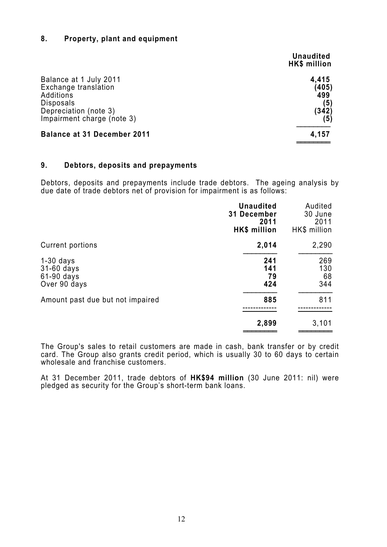### **8. Property, plant and equipment**

|                                                                                                                                        | <b>Unaudited</b><br>HK\$ million             |
|----------------------------------------------------------------------------------------------------------------------------------------|----------------------------------------------|
| Balance at 1 July 2011<br>Exchange translation<br>Additions<br><b>Disposals</b><br>Depreciation (note 3)<br>Impairment charge (note 3) | 4,415<br>(405)<br>499<br>(5)<br>(342)<br>(5) |
| <b>Balance at 31 December 2011</b>                                                                                                     | 4,157                                        |

#### **9. Debtors, deposits and prepayments**

Debtors, deposits and prepayments include trade debtors. The ageing analysis by due date of trade debtors net of provision for impairment is as follows:

|                                                           | <b>Unaudited</b><br>31 December<br>2011<br>HK\$ million | Audited<br>30 June<br>2011<br>HK\$ million |
|-----------------------------------------------------------|---------------------------------------------------------|--------------------------------------------|
| Current portions                                          | 2,014                                                   | 2,290                                      |
| $1-30$ days<br>31-60 days<br>$61-90$ days<br>Over 90 days | 241<br>141<br>79<br>424                                 | 269<br>130<br>68<br>344                    |
| Amount past due but not impaired                          | 885                                                     | 811                                        |
|                                                           | 2,899                                                   | 3,101                                      |

The Group's sales to retail customers are made in cash, bank transfer or by credit card. The Group also grants credit period, which is usually 30 to 60 days to certain wholesale and franchise customers.

At 31 December 2011, trade debtors of **HK\$94 million** (30 June 2011: nil) were pledged as security for the Group's short-term bank loans.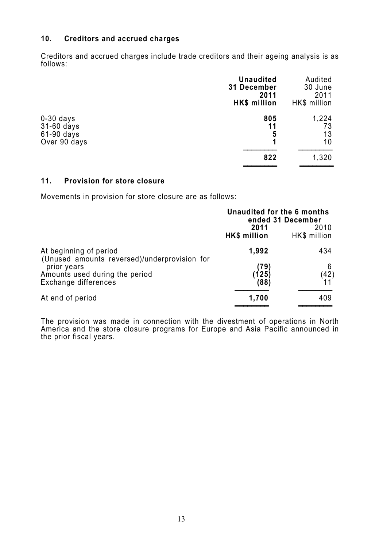### **10. Creditors and accrued charges**

Creditors and accrued charges include trade creditors and their ageing analysis is as follows:

|                                                           | <b>Unaudited</b><br><b>31 December</b><br>2011<br><b>HK\$</b> million | Audited<br>30 June<br>2011<br>HK\$ million |
|-----------------------------------------------------------|-----------------------------------------------------------------------|--------------------------------------------|
| $0-30$ days<br>$31-60$ days<br>61-90 days<br>Over 90 days | 805<br>11<br>5<br>1                                                   | 1,224<br>73<br>13<br>10                    |
|                                                           | 822                                                                   | 1,320                                      |

### **11. Provision for store closure**

Movements in provision for store closure are as follows:

|                                                                        | Unaudited for the 6 months  | ended 31 December    |
|------------------------------------------------------------------------|-----------------------------|----------------------|
|                                                                        | 2011<br><b>HK\$</b> million | 2010<br>HK\$ million |
| At beginning of period<br>(Unused amounts reversed)/underprovision for | 1,992                       | 434                  |
| prior years                                                            | (79)                        | 6                    |
| Amounts used during the period<br>Exchange differences                 | (125)<br>(88)               | (42)                 |
| At end of period                                                       | 1,700                       | 409                  |

The provision was made in connection with the divestment of operations in North America and the store closure programs for Europe and Asia Pacific announced in the prior fiscal years.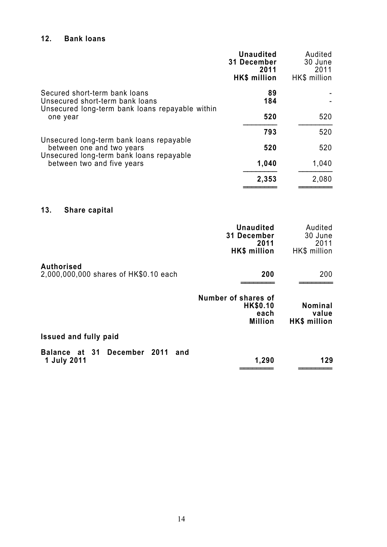### **12. Bank loans**

|                                                                                                                     | <b>Unaudited</b><br><b>31 December</b><br>2011<br>HK\$ million | Audited<br>30 June<br>2011<br>HK\$ million |
|---------------------------------------------------------------------------------------------------------------------|----------------------------------------------------------------|--------------------------------------------|
| Secured short-term bank loans<br>Unsecured short-term bank loans<br>Unsecured long-term bank loans repayable within | 89<br>184                                                      |                                            |
| one year                                                                                                            | 520                                                            | 520                                        |
| Unsecured long-term bank loans repayable                                                                            | 793                                                            | 520                                        |
| between one and two years<br>Unsecured long-term bank loans repayable                                               | 520                                                            | 520                                        |
| between two and five years                                                                                          | 1,040                                                          | 1,040                                      |
|                                                                                                                     | 2,353                                                          | 2,080                                      |
|                                                                                                                     |                                                                |                                            |

## **13. Share capital**

|                                                            | <b>Unaudited</b><br>31 December<br>2011<br>HK\$ million          | Audited<br>30 June<br>2011<br>HK\$ million     |
|------------------------------------------------------------|------------------------------------------------------------------|------------------------------------------------|
| <b>Authorised</b><br>2,000,000,000 shares of HK\$0.10 each | 200                                                              | 200                                            |
|                                                            | Number of shares of<br><b>HK\$0.10</b><br>each<br><b>Million</b> | <b>Nominal</b><br>value<br><b>HK\$</b> million |
| <b>Issued and fully paid</b>                               |                                                                  |                                                |
| Balance at 31 December 2011<br>and<br>1 July 2011          | 1,290                                                            | 129                                            |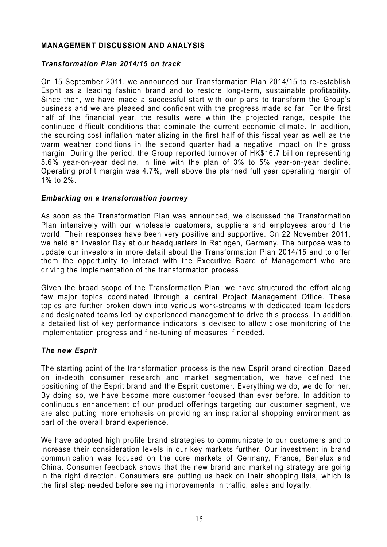### **MANAGEMENT DISCUSSION AND ANALYSIS**

### *Transformation Plan 2014/15 on track*

On 15 September 2011, we announced our Transformation Plan 2014/15 to re-establish Esprit as a leading fashion brand and to restore long-term, sustainable profitability. Since then, we have made a successful start with our plans to transform the Group's business and we are pleased and confident with the progress made so far. For the first half of the financial year, the results were within the projected range, despite the continued difficult conditions that dominate the current economic climate. In addition, the sourcing cost inflation materializing in the first half of this fiscal year as well as the warm weather conditions in the second quarter had a negative impact on the gross margin. During the period, the Group reported turnover of HK\$16.7 billion representing 5.6% year-on-year decline, in line with the plan of 3% to 5% year-on-year decline. Operating profit margin was 4.7%, well above the planned full year operating margin of 1% to 2%.

### *Embarking on a transformation journey*

As soon as the Transformation Plan was announced, we discussed the Transformation Plan intensively with our wholesale customers, suppliers and employees around the world. Their responses have been very positive and supportive. On 22 November 2011, we held an Investor Day at our headquarters in Ratingen, Germany. The purpose was to update our investors in more detail about the Transformation Plan 2014/15 and to offer them the opportunity to interact with the Executive Board of Management who are driving the implementation of the transformation process.

Given the broad scope of the Transformation Plan, we have structured the effort along few major topics coordinated through a central Project Management Office. These topics are further broken down into various work-streams with dedicated team leaders and designated teams led by experienced management to drive this process. In addition, a detailed list of key performance indicators is devised to allow close monitoring of the implementation progress and fine-tuning of measures if needed.

### *The new Esprit*

The starting point of the transformation process is the new Esprit brand direction. Based on in-depth consumer research and market segmentation, we have defined the positioning of the Esprit brand and the Esprit customer. Everything we do, we do for her. By doing so, we have become more customer focused than ever before. In addition to continuous enhancement of our product offerings targeting our customer segment, we are also putting more emphasis on providing an inspirational shopping environment as part of the overall brand experience.

We have adopted high profile brand strategies to communicate to our customers and to increase their consideration levels in our key markets further. Our investment in brand communication was focused on the core markets of Germany, France, Benelux and China. Consumer feedback shows that the new brand and marketing strategy are going in the right direction. Consumers are putting us back on their shopping lists, which is the first step needed before seeing improvements in traffic, sales and loyalty.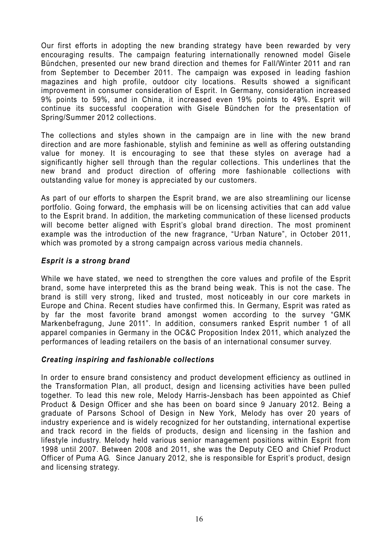Our first efforts in adopting the new branding strategy have been rewarded by very encouraging results. The campaign featuring internationally renowned model Gisele Bündchen, presented our new brand direction and themes for Fall/Winter 2011 and ran from September to December 2011. The campaign was exposed in leading fashion magazines and high profile, outdoor city locations. Results showed a significant improvement in consumer consideration of Esprit. In Germany, consideration increased 9% points to 59%, and in China, it increased even 19% points to 49%. Esprit will continue its successful cooperation with Gisele Bündchen for the presentation of Spring/Summer 2012 collections.

The collections and styles shown in the campaign are in line with the new brand direction and are more fashionable, stylish and feminine as well as offering outstanding value for money. It is encouraging to see that these styles on average had a significantly higher sell through than the regular collections. This underlines that the new brand and product direction of offering more fashionable collections with outstanding value for money is appreciated by our customers.

As part of our efforts to sharpen the Esprit brand, we are also streamlining our license portfolio. Going forward, the emphasis will be on licensing activities that can add value to the Esprit brand. In addition, the marketing communication of these licensed products will become better aligned with Esprit's global brand direction. The most prominent example was the introduction of the new fragrance, "Urban Nature", in October 2011, which was promoted by a strong campaign across various media channels.

### *Esprit is a strong brand*

While we have stated, we need to strengthen the core values and profile of the Esprit brand, some have interpreted this as the brand being weak. This is not the case. The brand is still very strong, liked and trusted, most noticeably in our core markets in Europe and China. Recent studies have confirmed this. In Germany, Esprit was rated as by far the most favorite brand amongst women according to the survey "GMK Markenbefragung, June 2011". In addition, consumers ranked Esprit number 1 of all apparel companies in Germany in the OC&C Proposition Index 2011, which analyzed the performances of leading retailers on the basis of an international consumer survey.

### *Creating inspiring and fashionable collections*

In order to ensure brand consistency and product development efficiency as outlined in the Transformation Plan, all product, design and licensing activities have been pulled together. To lead this new role, Melody Harris-Jensbach has been appointed as Chief Product & Design Officer and she has been on board since 9 January 2012. Being a graduate of Parsons School of Design in New York, Melody has over 20 years of industry experience and is widely recognized for her outstanding, international expertise and track record in the fields of products, design and licensing in the fashion and lifestyle industry. Melody held various senior management positions within Esprit from 1998 until 2007. Between 2008 and 2011, she was the Deputy CEO and Chief Product Officer of Puma AG. Since January 2012, she is responsible for Esprit's product, design and licensing strategy.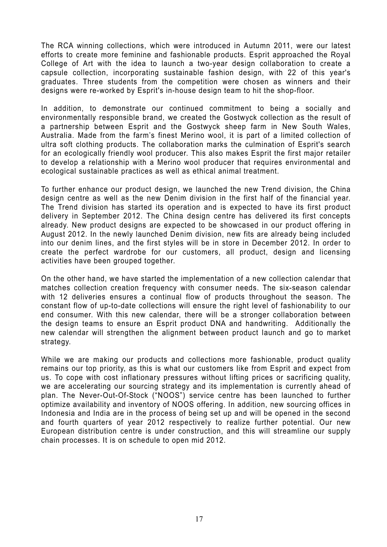The RCA winning collections, which were introduced in Autumn 2011, were our latest efforts to create more feminine and fashionable products. Esprit approached the Royal College of Art with the idea to launch a two-year design collaboration to create a capsule collection, incorporating sustainable fashion design, with 22 of this year's graduates. Three students from the competition were chosen as winners and their designs were re-worked by Esprit's in-house design team to hit the shop-floor.

In addition, to demonstrate our continued commitment to being a socially and environmentally responsible brand, we created the Gostwyck collection as the result of a partnership between Esprit and the Gostwyck sheep farm in New South Wales, Australia. Made from the farm's finest Merino wool, it is part of a limited collection of ultra soft clothing products. The collaboration marks the culmination of Esprit's search for an ecologically friendly wool producer. This also makes Esprit the first major retailer to develop a relationship with a Merino wool producer that requires environmental and ecological sustainable practices as well as ethical animal treatment.

To further enhance our product design, we launched the new Trend division, the China design centre as well as the new Denim division in the first half of the financial year. The Trend division has started its operation and is expected to have its first product delivery in September 2012. The China design centre has delivered its first concepts already. New product designs are expected to be showcased in our product offering in August 2012. In the newly launched Denim division, new fits are already being included into our denim lines, and the first styles will be in store in December 2012. In order to create the perfect wardrobe for our customers, all product, design and licensing activities have been grouped together.

On the other hand, we have started the implementation of a new collection calendar that matches collection creation frequency with consumer needs. The six-season calendar with 12 deliveries ensures a continual flow of products throughout the season. The constant flow of up-to-date collections will ensure the right level of fashionability to our end consumer. With this new calendar, there will be a stronger collaboration between the design teams to ensure an Esprit product DNA and handwriting. Additionally the new calendar will strengthen the alignment between product launch and go to market strategy.

While we are making our products and collections more fashionable, product quality remains our top priority, as this is what our customers like from Esprit and expect from us. To cope with cost inflationary pressures without lifting prices or sacrificing quality, we are accelerating our sourcing strategy and its implementation is currently ahead of plan. The Never-Out-Of-Stock ("NOOS") service centre has been launched to further optimize availability and inventory of NOOS offering. In addition, new sourcing offices in Indonesia and India are in the process of being set up and will be opened in the second and fourth quarters of year 2012 respectively to realize further potential. Our new European distribution centre is under construction, and this will streamline our supply chain processes. It is on schedule to open mid 2012.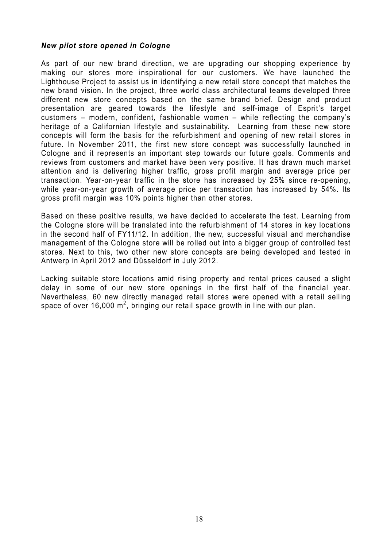### *New pilot store opened in Cologne*

As part of our new brand direction, we are upgrading our shopping experience by making our stores more inspirational for our customers. We have launched the Lighthouse Project to assist us in identifying a new retail store concept that matches the new brand vision. In the project, three world class architectural teams developed three different new store concepts based on the same brand brief. Design and product presentation are geared towards the lifestyle and self-image of Esprit's target customers – modern, confident, fashionable women – while reflecting the company's heritage of a Californian lifestyle and sustainability. Learning from these new store concepts will form the basis for the refurbishment and opening of new retail stores in future. In November 2011, the first new store concept was successfully launched in Cologne and it represents an important step towards our future goals. Comments and reviews from customers and market have been very positive. It has drawn much market attention and is delivering higher traffic, gross profit margin and average price per transaction. Year-on-year traffic in the store has increased by 25% since re-opening, while year-on-year growth of average price per transaction has increased by 54%. Its gross profit margin was 10% points higher than other stores.

Based on these positive results, we have decided to accelerate the test. Learning from the Cologne store will be translated into the refurbishment of 14 stores in key locations in the second half of FY11/12. In addition, the new, successful visual and merchandise management of the Cologne store will be rolled out into a bigger group of controlled test stores. Next to this, two other new store concepts are being developed and tested in Antwerp in April 2012 and Düsseldorf in July 2012.

Lacking suitable store locations amid rising property and rental prices caused a slight delay in some of our new store openings in the first half of the financial year. Nevertheless, 60 new directly managed retail stores were opened with a retail selling space of over 16,000  $m^2$ , bringing our retail space growth in line with our plan.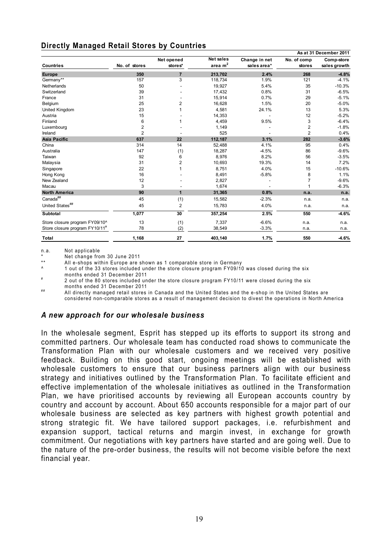### **Directly Managed Retail Stores by Countries**

|                                            |                |                         |                  |               |                | As at 31 December 2011 |
|--------------------------------------------|----------------|-------------------------|------------------|---------------|----------------|------------------------|
|                                            |                | Net opened              | <b>Net sales</b> | Change in net | No. of comp    | Comp-store             |
| <b>Countries</b>                           | No. of stores  | stores*                 | area $m2$        | sales area*   | <b>stores</b>  | sales growth           |
| <b>Europe</b>                              | 350            | $\overline{7}$          | 213,702          | 2.4%          | 268            | $-4.8%$                |
| Germany**                                  | 157            | 3                       | 118,734          | 1.9%          | 121            | $-4.1%$                |
| Netherlands                                | 50             |                         | 19,927           | 5.4%          | 35             | $-10.3%$               |
| Switzerland                                | 39             |                         | 17,432           | 0.8%          | 31             | $-6.5%$                |
| France                                     | 31             |                         | 15,914           | 0.7%          | 29             | $-5.1%$                |
| Belgium                                    | 25             | $\overline{2}$          | 16,628           | 1.5%          | 20             | $-5.0%$                |
| United Kingdom                             | 23             | 1                       | 4,581            | 24.1%         | 13             | 5.3%                   |
| Austria                                    | 15             |                         | 14,353           |               | 12             | $-5.2%$                |
| Finland                                    | 6              | 1                       | 4,459            | 9.5%          | 3              | $-6.4%$                |
| Luxembourg                                 | 2              |                         | 1,149            |               | $\overline{c}$ | $-1.8%$                |
| Ireland                                    | $\overline{2}$ |                         | 525              |               | $\overline{2}$ | 0.4%                   |
| <b>Asia Pacific</b>                        | 637            | 22                      | 112,187          | 3.1%          | 282            | $-3.6%$                |
| China                                      | 314            | 14                      | 52,488           | 4.1%          | 95             | 0.4%                   |
| Australia                                  | 147            | (1)                     | 18,287           | $-4.5%$       | 86             | $-9.6%$                |
| Taiwan                                     | 92             | 6                       | 8,976            | 8.2%          | 56             | $-3.5%$                |
| Malaysia                                   | 31             | $\overline{\mathbf{c}}$ | 10,693           | 19.3%         | 14             | 7.2%                   |
| Singapore                                  | 22             | $\mathbf{1}$            | 8,751            | 4.0%          | 15             | $-10.6%$               |
| Hong Kong                                  | 16             |                         | 8,491            | $-5.8%$       | 8              | 1.1%                   |
| New Zealand                                | 12             |                         | 2,827            |               | $\overline{7}$ | $-9.6%$                |
| Macau                                      | 3              |                         | 1,674            |               |                | $-6.3%$                |
| <b>North America</b>                       | 90             | $\mathbf{1}$            | 31,365           | 0.8%          | n.a.           | n.a.                   |
| Canada##                                   | 45             | (1)                     | 15,582           | $-2.3%$       | n.a.           | n.a.                   |
| United States##                            | 45             | 2                       | 15,783           | 4.0%          | n.a.           | n.a.                   |
| <b>Subtotal</b>                            | 1,077          | 30                      | 357,254          | 2.5%          | 550            | $-4.6%$                |
| Store closure program FY09/10^             | 13             | (1)                     | 7,337            | $-6.6%$       | n.a.           | n.a.                   |
| Store closure program FY10/11 <sup>#</sup> | 78             | (2)                     | 38,549           | $-3.3%$       | n.a.           | n.a.                   |
| Total                                      | 1,168          | 27                      | 403,140          | 1.7%          | 550            | $-4.6%$                |

n.a. Not applicable

\* Net change from 30 June 2011

\*\* All e-shops within Europe are shown as 1 comparable store in Germany

^ 1 out of the 33 stores included under the store closure program FY09/10 was closed during the six

months ended 31 December 2011<br>2 out of the 80 stores included under the store closure program FY10/11 were closed during the six months ended 31 December 2011

All directly managed retail stores in Canada and the United States and the e-shop in the United States are considered non-comparable stores as a result of management decision to divest the operations in North America

### *A new approach for our wholesale business*

In the wholesale segment, Esprit has stepped up its efforts to support its strong and committed partners. Our wholesale team has conducted road shows to communicate the Transformation Plan with our wholesale customers and we received very positive feedback. Building on this good start, ongoing meetings will be established with wholesale customers to ensure that our business partners align with our business strategy and initiatives outlined by the Transformation Plan. To facilitate efficient and effective implementation of the wholesale initiatives as outlined in the Transformation Plan, we have prioritised accounts by reviewing all European accounts country by country and account by account. About 650 accounts responsible for a major part of our wholesale business are selected as key partners with highest growth potential and strong strategic fit. We have tailored support packages, i.e. refurbishment and expansion support, tactical returns and margin invest, in exchange for growth commitment. Our negotiations with key partners have started and are going well. Due to the nature of the pre-order business, the results will not become visible before the next financial year.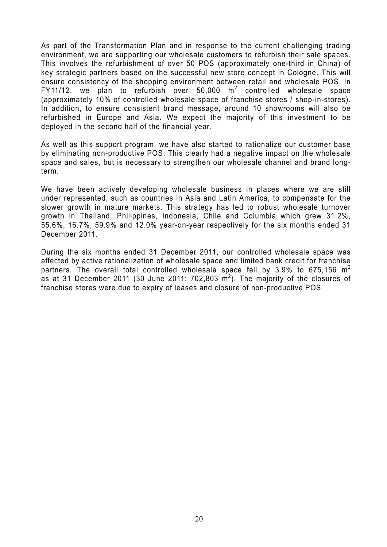As part of the Transformation Plan and in response to the current challenging trading environment, we are supporting our wholesale customers to refurbish their sale spaces. This involves the refurbishment of over 50 POS (approximately one-third in China) of key strategic partners based on the successful new store concept in Cologne. This will ensure consistency of the shopping environment between retail and wholesale POS. In FY11/12, we plan to refurbish over 50,000  $m^2$  controlled wholesale space (approximately 10% of controlled wholesale space of franchise stores / shop-in-stores). In addition, to ensure consistent brand message, around 10 showrooms will also be refurbished in Europe and Asia. We expect the majority of this investment to be deployed in the second half of the financial year.

As well as this support program, we have also started to rationalize our customer base by eliminating non-productive POS. This clearly had a negative impact on the wholesale space and sales, but is necessary to strengthen our wholesale channel and brand longterm.

We have been actively developing wholesale business in places where we are still under represented, such as countries in Asia and Latin America, to compensate for the slower growth in mature markets. This strategy has led to robust wholesale turnover growth in Thailand, Philippines, Indonesia, Chile and Columbia which grew 31.2%, 55.6%, 16.7%, 59.9% and 12.0% year-on-year respectively for the six months ended 31 December 2011.

During the six months ended 31 December 2011, our controlled wholesale space was affected by active rationalization of wholesale space and limited bank credit for franchise partners. The overall total controlled wholesale space fell by 3.9% to 675,156  $m^2$ as at 31 December 2011 (30 June 2011: 702,803  $m^2$ ). The majority of the closures of franchise stores were due to expiry of leases and closure of non-productive POS.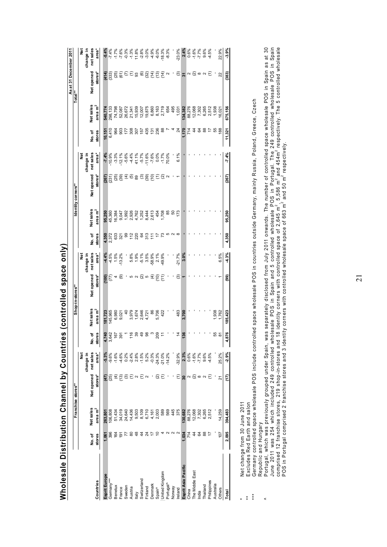|                     |        |                     |                    |                                     |                                                            |                         |                                 |                            |        |                            |                                                                                                                             |                                                                                                                                                                                                                                                                                                     |                 |                                 | As at 31 December 2011       |                                               |
|---------------------|--------|---------------------|--------------------|-------------------------------------|------------------------------------------------------------|-------------------------|---------------------------------|----------------------------|--------|----------------------------|-----------------------------------------------------------------------------------------------------------------------------|-----------------------------------------------------------------------------------------------------------------------------------------------------------------------------------------------------------------------------------------------------------------------------------------------------|-----------------|---------------------------------|------------------------------|-----------------------------------------------|
|                     |        |                     | Franchise stores** |                                     |                                                            |                         | Shop-in-stores**                |                            |        |                            | Identity corners**                                                                                                          |                                                                                                                                                                                                                                                                                                     |                 |                                 | Total**                      |                                               |
|                     |        |                     |                    | ğ                                   |                                                            |                         |                                 | ğ                          |        |                            |                                                                                                                             | ĕ                                                                                                                                                                                                                                                                                                   |                 |                                 |                              | ă                                             |
|                     |        |                     |                    | change in                           |                                                            |                         |                                 | change in                  |        |                            |                                                                                                                             | change in                                                                                                                                                                                                                                                                                           |                 |                                 |                              | change in                                     |
|                     | No. of | Net sales           | Net opened         | net sales                           | ৳<br>ġ                                                     | Net sales               | Net opened                      | net sales                  | No. of | Net sales                  | Net opened                                                                                                                  | net sales                                                                                                                                                                                                                                                                                           | No. of          | Net sales                       | Net opened                   | net sales                                     |
| Countries           | stores | area m <sup>2</sup> | stores*            | area*                               | stores                                                     | area $m2$               | stores*                         | area*                      | stores | area m $^{2}$              | stores*                                                                                                                     | area*                                                                                                                                                                                                                                                                                               | stores          | area m $^{2}$                   | stores*                      | area*                                         |
| Esprit Europe       | 1,061  | 263,801             | (47)               | $-5.3%$                             |                                                            | 181,723                 | (100)                           |                            | 4,350  |                            |                                                                                                                             |                                                                                                                                                                                                                                                                                                     | 10,151          |                                 |                              |                                               |
| Germany****         | 396    | 106,808             | ලි                 | $-9.6\%$                            | $4,842$<br>$6,642$<br>$6,76$<br>$6,76$<br>$6,76$<br>$6,76$ | 145,965                 | E)                              | $4.5%$<br>$4.5%$<br>$1.5%$ | 2,372  | 95,250<br>45,360<br>16,384 | $(231)$<br>$(231)$<br>$(25)$                                                                                                | $-7.4%$<br>$-10.9%$<br>$-3.3%$                                                                                                                                                                                                                                                                      | 6,410           | 540, 774<br>298, 133<br>74, 798 | $\frac{4}{33}$               |                                               |
| Benelux             | ভূ     | 51,434              | €                  | $-1.6%$                             |                                                            | 6,980                   | 4                               |                            | 63     |                            |                                                                                                                             |                                                                                                                                                                                                                                                                                                     | 964             |                                 |                              |                                               |
| France              | έē     | 34,019              | (13)               | 4.6%                                |                                                            | 9,021                   | ම                               | 13.2%                      | త్ల శ  | 9,047                      | (39)                                                                                                                        | $\begin{array}{l} 7.188 \\ 7.688 \\ 7.788 \\ 8.488 \\ 1.198 \\ 1.688 \\ 1.788 \\ 1.688 \\ 1.788 \\ 1.688 \\ 1.698 \\ 1.788 \\ 1.788 \\ 1.788 \\ 1.788 \\ 1.788 \\ 1.788 \\ 1.788 \\ 1.788 \\ 1.788 \\ 1.788 \\ 1.788 \\ 1.788 \\ 1.788 \\ 1.788 \\ 1.788 \\ 1.788 \\ 1.788 \\ 1.788 \\ 1.788 \\ 1.$ | 903             | 52,087                          | 95558                        |                                               |
| Sweden              |        | 24,640              | න                  | $0.2%$<br>$-2.4%$                   |                                                            | $\theta$                |                                 |                            |        | 1,992                      |                                                                                                                             |                                                                                                                                                                                                                                                                                                     | 177             | 26,672                          |                              |                                               |
| Austria             | ౙ      | 14,436              |                    |                                     | 116                                                        | 3,979                   | 5                               | 5.8%                       |        |                            |                                                                                                                             |                                                                                                                                                                                                                                                                                                     | 308             | 21,341                          |                              |                                               |
| taly                | क्ष    | 9,503               |                    |                                     |                                                            |                         |                                 |                            |        |                            |                                                                                                                             |                                                                                                                                                                                                                                                                                                     |                 | 15,939                          |                              |                                               |
| Switzerland         | 4      | 8,109               |                    | $28%$<br>$7.5%$<br>$7.3%$<br>$9.3%$ | 8\$8                                                       | 1,674<br>2,646<br>4,721 | $\alpha$ $\overline{\alpha}$ is | $1.9%$<br>$5.5%$<br>$5.5%$ | 288725 | 2,928<br>4,762<br>1,252    | $\widehat{\sigma}$ . $\widehat{\sigma}$ . $\widehat{\sigma}$ . $\widehat{\sigma}$ . $\widehat{\sigma}$ . $\widehat{\sigma}$ |                                                                                                                                                                                                                                                                                                     | <b>SP 38</b>    | 12,007<br>19,875                |                              |                                               |
| Finland             | 24     | 6,710               | Z                  |                                     |                                                            |                         |                                 |                            |        | 8,444                      |                                                                                                                             |                                                                                                                                                                                                                                                                                                     |                 |                                 |                              |                                               |
| Denmark             | 17     | 4,161               |                    |                                     | ო                                                          | 8                       | $\widehat{f}$                   | -58.9%                     |        | 2,613                      |                                                                                                                             |                                                                                                                                                                                                                                                                                                     | $\frac{5}{28}$  | 6,860                           |                              |                                               |
| Spain <sup>^</sup>  |        | 2,003               | Q                  | $-24.3%$<br>$-21.0%$<br>$-14.2%$    | 209                                                        | 5,706                   | $\frac{1}{2}$                   | 2.1%                       |        | 454<br>1,708               |                                                                                                                             |                                                                                                                                                                                                                                                                                                     |                 | 8,163<br>2,719                  | මසි£ිම                       |                                               |
| United Kingdom      |        | 589                 |                    |                                     |                                                            | 422                     | Ξ                               | 49.9%                      | జ      |                            |                                                                                                                             | $-1.7%$                                                                                                                                                                                                                                                                                             | 88              |                                 | $\widetilde{f}$              |                                               |
| Portugal^           |        | 569                 |                    |                                     |                                                            |                         |                                 |                            |        | 85                         |                                                                                                                             | $70.0\%$                                                                                                                                                                                                                                                                                            |                 | 654                             | $\mathbf{\Omega}$            | $-8.3%$                                       |
| Vorway              |        | 445                 |                    |                                     |                                                            |                         |                                 |                            |        | င္ဟ                        |                                                                                                                             |                                                                                                                                                                                                                                                                                                     |                 | 495                             |                              |                                               |
| Ireland             |        | 375                 | E                  | $-32.9%$                            |                                                            | 483                     | ම                               | $-21.7%$                   |        | 173                        |                                                                                                                             | 6.1%                                                                                                                                                                                                                                                                                                | $\overline{24}$ | 1,031                           | න                            | $-23.0%$                                      |
| Esprit Asia Pacific | 1,034  | 130,682             | 30                 |                                     | <b>136</b>                                                 | 3,700                   |                                 | 3.0%                       |        |                            |                                                                                                                             |                                                                                                                                                                                                                                                                                                     | 1,170           | 134,382                         | रू                           |                                               |
| China               | 714    | 88,276              | Ν                  | 2.3%<br>0.6%                        |                                                            |                         |                                 |                            |        |                            |                                                                                                                             |                                                                                                                                                                                                                                                                                                     | 714             | 88,276                          | 2                            |                                               |
| The Middle East     | 4      | 12,068              | လြ ထ               | $-1.6%$                             |                                                            |                         |                                 |                            |        |                            |                                                                                                                             |                                                                                                                                                                                                                                                                                                     | 4               | 12,068                          |                              |                                               |
| India               | 3      | 7,302               |                    | $-7.7\%$                            |                                                            |                         |                                 |                            |        |                            |                                                                                                                             |                                                                                                                                                                                                                                                                                                     | 280             | 7,302                           | $\overline{\omega}$ ∞ $\sim$ |                                               |
| Thailand            | 88     | 6,265               |                    | 9.6%                                |                                                            |                         |                                 |                            |        |                            |                                                                                                                             |                                                                                                                                                                                                                                                                                                     |                 | 6,265                           |                              | $2.588888888$<br>0.6%<br>0.6%<br>0.6%<br>0.6% |
| Philippines         | 7      | 2,512               |                    | 4.5%                                |                                                            |                         |                                 |                            |        |                            |                                                                                                                             |                                                                                                                                                                                                                                                                                                     | 588             | 2,512                           | Ξ                            |                                               |
| Australia           |        |                     |                    |                                     | 55<br>87                                                   | 1,938                   |                                 |                            |        |                            |                                                                                                                             |                                                                                                                                                                                                                                                                                                     |                 |                                 |                              |                                               |
| Others              | 107    | 14,259              | ಸ                  | 25.2%                               |                                                            |                         |                                 | 6.5%                       |        |                            |                                                                                                                             |                                                                                                                                                                                                                                                                                                     |                 | $1,938$<br>$16,021$             | ଧ୍ୟ                          | 22.9%                                         |
| Total               | 2,095  | 394,483             | (17)               | $-2.9%$                             | 4,876                                                      | 185,423                 | ඹි                              | 4.3%                       | 4,350  | 95,250                     | (267)                                                                                                                       | $-7.4%$                                                                                                                                                                                                                                                                                             | 11,321          | 675,156                         | (383)                        | $-3.9%$                                       |
|                     |        |                     |                    |                                     |                                                            |                         |                                 |                            |        |                            |                                                                                                                             |                                                                                                                                                                                                                                                                                                     |                 |                                 |                              |                                               |

**Wholesale Distribution Channel by Countries (controlled space only)**  Wholesale Distribution Channel by Countries (controlled space only)

Net change from 30 June 2011<br>Excludes Red Earth and salon \* Net change from 30 June 2011 

\*\* Excludes Red Earth and salon

 $\overline{a}$ 

\*\*\* Germany controlled space wholesale POS include controlled space wholesale POS in countries outside Germany, mainly Russia, Poland, Greece, Czech Germany controlled space wholesale POS include controlled space wholesale POS in countries outside Germany, mainly Russia, Poland, Greece, Czech Republic and Hungary

Republic and Hungary<br>Portugal, which was previously grouped under Spain, was separately disclosed from July 2011 onwards. The number of controlled space wholesale POS in Spain as at 30<br>June 2011 was 254 which included 249 ^ Portugal, which was previously grouped under Spain, was separately disclosed from July 2011 onwards. The number of controlled space wholesale POS in Spain as at 30 June 2011 was 254 which included 249 controlled wholesale POS in Spain and 5 controlled wholesale POS in Portugal. The 249 controlled wholesale POS in Spain comprised 12 franchise stores, 219 shop-in-stores and 18 identity corners with controlled space of 2,645 m2 , 5,586 m2 and 454m2 respectively. The 5 controlled wholesale POS in Portugal comprised 2 franchise stores and 3 identity corners with controlled wholesale space of 663 m2 and 50 m2 respectively.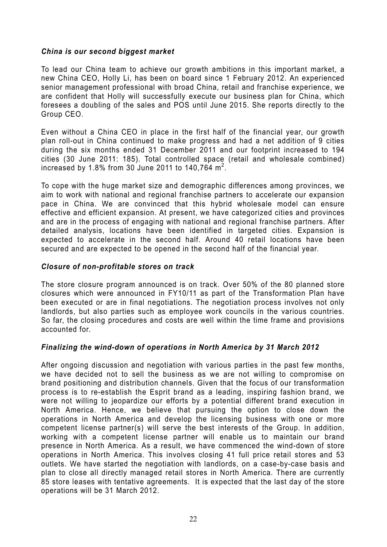### *China is our second biggest market*

To lead our China team to achieve our growth ambitions in this important market, a new China CEO, Holly Li, has been on board since 1 February 2012. An experienced senior management professional with broad China, retail and franchise experience, we are confident that Holly will successfully execute our business plan for China, which foresees a doubling of the sales and POS until June 2015. She reports directly to the Group CEO.

Even without a China CEO in place in the first half of the financial year, our growth plan roll-out in China continued to make progress and had a net addition of 9 cities during the six months ended 31 December 2011 and our footprint increased to 194 cities (30 June 2011: 185). Total controlled space (retail and wholesale combined) increased by 1.8% from 30 June 2011 to 140,764  $\text{m}^2$ .

To cope with the huge market size and demographic differences among provinces, we aim to work with national and regional franchise partners to accelerate our expansion pace in China. We are convinced that this hybrid wholesale model can ensure effective and efficient expansion. At present, we have categorized cities and provinces and are in the process of engaging with national and regional franchise partners. After detailed analysis, locations have been identified in targeted cities. Expansion is expected to accelerate in the second half. Around 40 retail locations have been secured and are expected to be opened in the second half of the financial year.

### *Closure of non-profitable stores on track*

The store closure program announced is on track. Over 50% of the 80 planned store closures which were announced in FY10/11 as part of the Transformation Plan have been executed or are in final negotiations. The negotiation process involves not only landlords, but also parties such as employee work councils in the various countries. So far, the closing procedures and costs are well within the time frame and provisions accounted for.

### *Finalizing the wind-down of operations in North America by 31 March 2012*

After ongoing discussion and negotiation with various parties in the past few months, we have decided not to sell the business as we are not willing to compromise on brand positioning and distribution channels. Given that the focus of our transformation process is to re-establish the Esprit brand as a leading, inspiring fashion brand, we were not willing to jeopardize our efforts by a potential different brand execution in North America. Hence, we believe that pursuing the option to close down the operations in North America and develop the licensing business with one or more competent license partner(s) will serve the best interests of the Group. In addition, working with a competent license partner will enable us to maintain our brand presence in North America. As a result, we have commenced the wind-down of store operations in North America. This involves closing 41 full price retail stores and 53 outlets. We have started the negotiation with landlords, on a case-by-case basis and plan to close all directly managed retail stores in North America. There are currently 85 store leases with tentative agreements. It is expected that the last day of the store operations will be 31 March 2012.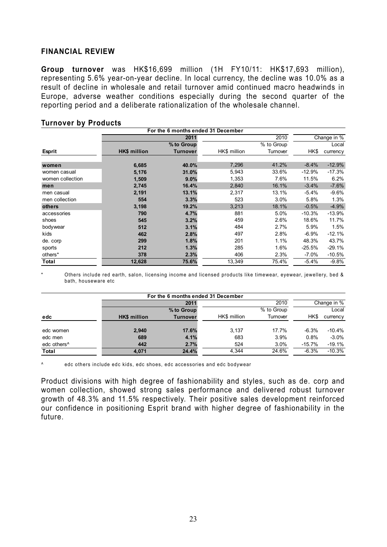#### **FINANCIAL REVIEW**

**Group turnover** was HK\$16,699 million (1H FY10/11: HK\$17,693 million), representing 5.6% year-on-year decline. In local currency, the decline was 10.0% as a result of decline in wholesale and retail turnover amid continued macro headwinds in Europe, adverse weather conditions especially during the second quarter of the reporting period and a deliberate rationalization of the wholesale channel.

|                  |                     | For the 6 months ended 31 December |              |            |          |             |
|------------------|---------------------|------------------------------------|--------------|------------|----------|-------------|
|                  |                     | 2011                               |              | 2010       |          | Change in % |
|                  |                     | % to Group                         |              | % to Group |          | Local       |
| <b>Esprit</b>    | <b>HK\$ million</b> | <b>Turnover</b>                    | HK\$ million | Turnover   | HK\$     | currency    |
|                  |                     |                                    |              |            |          |             |
| women            | 6,685               | 40.0%                              | 7,296        | 41.2%      | $-8.4%$  | $-12.9%$    |
| women casual     | 5,176               | 31.0%                              | 5,943        | 33.6%      | $-12.9%$ | $-17.3%$    |
| women collection | 1,509               | 9.0%                               | 1,353        | 7.6%       | 11.5%    | 6.2%        |
| men              | 2,745               | 16.4%                              | 2,840        | 16.1%      | $-3.4%$  | $-7.6%$     |
| men casual       | 2,191               | 13.1%                              | 2,317        | 13.1%      | $-5.4%$  | $-9.6%$     |
| men collection   | 554                 | 3.3%                               | 523          | 3.0%       | 5.8%     | 1.3%        |
| others           | 3,198               | 19.2%                              | 3,213        | 18.1%      | $-0.5%$  | $-4.9%$     |
| accessories      | 790                 | 4.7%                               | 881          | 5.0%       | $-10.3%$ | $-13.9%$    |
| shoes            | 545                 | 3.2%                               | 459          | 2.6%       | 18.6%    | 11.7%       |
| bodywear         | 512                 | 3.1%                               | 484          | 2.7%       | 5.9%     | 1.5%        |
| kids             | 462                 | 2.8%                               | 497          | 2.8%       | $-6.9%$  | $-12.1%$    |
| de. corp         | 299                 | 1.8%                               | 201          | 1.1%       | 48.3%    | 43.7%       |
| sports           | 212                 | 1.3%                               | 285          | 1.6%       | $-25.5%$ | $-29.1%$    |
| others*          | 378                 | 2.3%                               | 406          | 2.3%       | $-7.0\%$ | $-10.5%$    |
| Total            | 12,628              | 75.6%                              | 13,349       | 75.4%      | $-5.4%$  | $-9.8%$     |

#### **Turnover by Products**

Others include red earth, salon, licensing income and licensed products like timewear, eyewear, jewellery, bed & bath, houseware etc

|                         |                     |                 | For the 6 months ended 31 December |            |          |             |
|-------------------------|---------------------|-----------------|------------------------------------|------------|----------|-------------|
|                         |                     | 2011            |                                    | 2010       |          | Change in % |
|                         |                     | % to Group      |                                    | % to Group |          | Local       |
| edc                     | <b>HK\$</b> million | <b>Turnover</b> | HK\$ million                       | Turnover   | HK\$     | currency    |
|                         |                     |                 |                                    |            |          |             |
| edc women               | 2,940               | 17.6%           | 3.137                              | 17.7%      | $-6.3%$  | $-10.4\%$   |
| edc men                 | 689                 | 4.1%            | 683                                | 3.9%       | 0.8%     | $-3.0%$     |
| edc others <sup>^</sup> | 442                 | 2.7%            | 524                                | 3.0%       | $-15.7%$ | $-19.1%$    |
| Total                   | 4.071               | 24.4%           | 4.344                              | 24.6%      | $-6.3%$  | $-10.3%$    |

^ edc others include edc kids, edc shoes, edc accessories and edc bodywear

Product divisions with high degree of fashionability and styles, such as de. corp and women collection, showed strong sales performance and delivered robust turnover growth of 48.3% and 11.5% respectively. Their positive sales development reinforced our confidence in positioning Esprit brand with higher degree of fashionability in the future.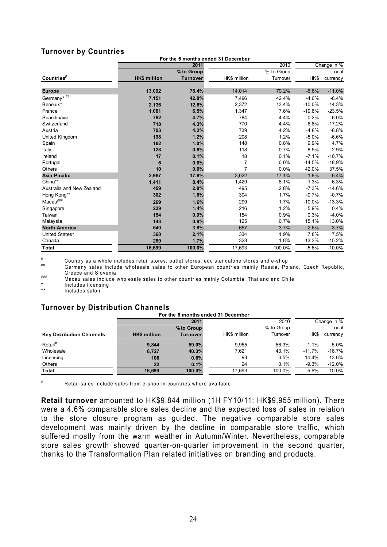### **Turnover by Countries**

|                           |                     |                 | For the 6 months ended 31 December |            |          |             |
|---------------------------|---------------------|-----------------|------------------------------------|------------|----------|-------------|
|                           |                     | 2011            |                                    | 2010       |          | Change in % |
|                           |                     | % to Group      |                                    | % to Group |          | Local       |
| Countries#                | <b>HK\$ million</b> | <b>Turnover</b> | HK\$ million                       | Turnover   | HK\$     | currency    |
|                           |                     |                 |                                    |            |          |             |
| <b>Europe</b>             | 13,092              | 78.4%           | 14,014                             | 79.2%      | $-6.6%$  | $-11.0%$    |
| Germany* ##               | 7,151               | 42.8%           | 7,496                              | 42.4%      | $-4.6%$  | $-8.4%$     |
| Benelux*                  | 2,136               | 12.8%           | 2,372                              | 13.4%      | $-10.0%$ | $-14.3%$    |
| France                    | 1,081               | 6.5%            | 1,347                              | 7.6%       | $-19.8%$ | $-23.5%$    |
| Scandinavia               | 782                 | 4.7%            | 784                                | 4.4%       | $-0.2%$  | $-6.0%$     |
| Switzerland               | 718                 | 4.3%            | 770                                | 4.4%       | $-6.8%$  | $-17.2%$    |
| Austria                   | 703                 | 4.2%            | 739                                | 4.2%       | $-4.8%$  | $-8.8%$     |
| United Kingdom            | 198                 | 1.2%            | 208                                | 1.2%       | $-5.0%$  | $-6.6%$     |
| Spain                     | 162                 | 1.0%            | 148                                | 0.8%       | 9.9%     | 4.7%        |
| Italy                     | 128                 | 0.8%            | 118                                | 0.7%       | 8.5%     | 2.9%        |
| Ireland                   | 17                  | 0.1%            | 18                                 | 0.1%       | $-7.1%$  | $-10.7%$    |
| Portugal                  | 6                   | 0.0%            | $\overline{7}$                     | 0.0%       | $-14.5%$ | $-18.9%$    |
| Others                    | 10                  | 0.0%            | $\overline{7}$                     | 0.0%       | 42.0%    | 37.5%       |
| <b>Asia Pacific</b>       | 2,967               | 17.8%           | 3,022                              | 17.1%      | $-1.8%$  | $-6.4%$     |
| China**                   | 1,411               | 8.4%            | 1,429                              | 8.1%       | $-1.3%$  | $-6.3%$     |
| Australia and New Zealand | 459                 | 2.8%            | 495                                | 2.8%       | $-7.3%$  | $-14.6%$    |
| Hong Kong**               | 302                 | 1.8%            | 304                                | 1.7%       | $-0.7%$  | $-0.7%$     |
| Macau###                  | 269                 | 1.6%            | 299                                | 1.7%       | $-10.0%$ | $-13.3%$    |
| Singapore                 | 229                 | 1.4%            | 216                                | 1.2%       | 5.9%     | 0.4%        |
| Taiwan                    | 154                 | 0.9%            | 154                                | 0.9%       | 0.3%     | $-4.0%$     |
| Malaysia                  | 143                 | 0.9%            | 125                                | 0.7%       | 15.1%    | 13.0%       |
| <b>North America</b>      | 640                 | 3.8%            | 657                                | 3.7%       | $-2.6%$  | $-3.7%$     |
| United States*            | 360                 | 2.1%            | 334                                | 1.9%       | 7.8%     | 7.5%        |
| Canada                    | 280                 | 1.7%            | 323                                | 1.8%       | $-13.3%$ | $-15.2%$    |
| <b>Total</b>              | 16,699              | 100.0%          | 17,693                             | 100.0%     | $-5.6%$  | $-10.0%$    |

# Country as a whole includes retail stores, outlet stores, edc standalone stores and e-shop<br># Germany sales include wholesale sales to other European countries mainly Russia, Poland, Czech Republic,

Greece and Slovenia ### Macau sales include wholesale sales to other countries mainly Columbia, Thailand and Chile

\* Includes licensing<br>\*\* lookudes salen

Includes salon

### **Turnover by Distribution Channels**

| For the 6 months ended 31 December |                 |              |            |           |             |
|------------------------------------|-----------------|--------------|------------|-----------|-------------|
|                                    | 2011            |              | 2010       |           | Change in % |
|                                    | % to Group      |              | % to Group |           | Local       |
| <b>HK\$</b> million                | <b>Turnover</b> | HK\$ million | Turnover   | HK\$      | currency    |
| 9.844                              | 59.0%           | 9.955        | 56.3%      | $-1.1%$   | $-5.0\%$    |
| 6,727                              | 40.3%           | 7,621        | 43.1%      | $-11.7\%$ | $-16.7%$    |
| 106                                | 0.6%            | 93           | 0.5%       | 14.4%     | 13.6%       |
| 22                                 | 0.1%            | 24           | 0.1%       | $-9.3%$   | $-12.0%$    |
| 16.699                             | 100.0%          | 17.693       | 100.0%     | $-5.6%$   | $-10.0\%$   |
|                                    |                 |              |            |           |             |

Retail sales include sales from e-shop in countries where available

**Retail turnover** amounted to HK\$9,844 million (1H FY10/11: HK\$9,955 million). There were a 4.6% comparable store sales decline and the expected loss of sales in relation to the store closure program as guided. The negative comparable store sales development was mainly driven by the decline in comparable store traffic, which suffered mostly from the warm weather in Autumn/Winter. Nevertheless, comparable store sales growth showed quarter-on-quarter improvement in the second quarter, thanks to the Transformation Plan related initiatives on branding and products.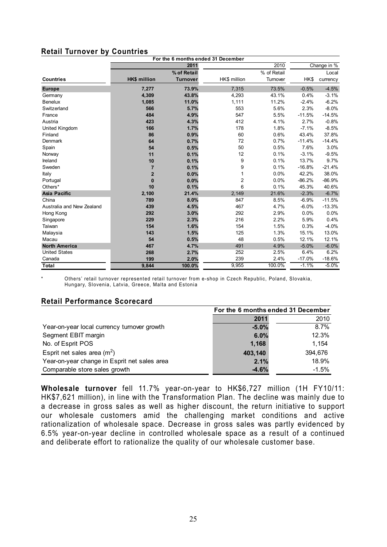### **Retail Turnover by Countries**

|                           |                     |                 | For the 6 months ended 31 December |             |          |             |
|---------------------------|---------------------|-----------------|------------------------------------|-------------|----------|-------------|
|                           |                     | 2011            |                                    | 2010        |          | Change in % |
|                           |                     | % of Retail     |                                    | % of Retail |          | Local       |
| <b>Countries</b>          | <b>HK\$ million</b> | <b>Turnover</b> | HK\$ million                       | Turnover    | HK\$     | currency    |
| <b>Europe</b>             | 7,277               | 73.9%           | 7,315                              | 73.5%       | $-0.5%$  | $-4.5%$     |
| Germany                   | 4,309               | 43.8%           | 4,293                              | 43.1%       | 0.4%     | $-3.1%$     |
| <b>Benelux</b>            | 1,085               | 11.0%           | 1,111                              | 11.2%       | $-2.4%$  | $-6.2%$     |
| Switzerland               | 566                 | 5.7%            | 553                                | 5.6%        | 2.3%     | $-8.0%$     |
| France                    | 484                 | 4.9%            | 547                                | 5.5%        | $-11.5%$ | $-14.5%$    |
| Austria                   | 423                 | 4.3%            | 412                                | 4.1%        | 2.7%     | $-0.8%$     |
| United Kingdom            | 166                 | 1.7%            | 178                                | 1.8%        | $-7.1%$  | $-8.5%$     |
| Finland                   | 86                  | 0.9%            | 60                                 | 0.6%        | 43.4%    | 37.8%       |
| Denmark                   | 64                  | 0.7%            | 72                                 | 0.7%        | $-11.4%$ | $-14.4%$    |
| Spain                     | 54                  | 0.5%            | 50                                 | 0.5%        | 7.6%     | 3.0%        |
| Norway                    | 11                  | 0.1%            | 12                                 | 0.1%        | $-3.1%$  | $-9.5%$     |
| Ireland                   | 10                  | 0.1%            | 9                                  | 0.1%        | 13.7%    | 9.7%        |
| Sweden                    | $\overline{7}$      | 0.1%            | 9                                  | 0.1%        | $-16.8%$ | $-21.4%$    |
| Italy                     | $\overline{2}$      | 0.0%            | 1                                  | 0.0%        | 42.2%    | 38.0%       |
| Portugal                  | $\bf{0}$            | 0.0%            | $\overline{2}$                     | 0.0%        | $-86.2%$ | $-86.9%$    |
| Others*                   | 10                  | 0.1%            | 6                                  | 0.1%        | 45.3%    | 40.6%       |
| <b>Asia Pacific</b>       | 2,100               | 21.4%           | 2,149                              | 21.6%       | $-2.3%$  | $-6.7%$     |
| China                     | 789                 | 8.0%            | 847                                | 8.5%        | $-6.9%$  | $-11.5%$    |
| Australia and New Zealand | 439                 | 4.5%            | 467                                | 4.7%        | $-6.0%$  | $-13.3%$    |
| Hong Kong                 | 292                 | 3.0%            | 292                                | 2.9%        | 0.0%     | 0.0%        |
| Singapore                 | 229                 | 2.3%            | 216                                | 2.2%        | 5.9%     | 0.4%        |
| Taiwan                    | 154                 | 1.6%            | 154                                | 1.5%        | 0.3%     | $-4.0%$     |
| Malaysia                  | 143                 | 1.5%            | 125                                | 1.3%        | 15.1%    | 13.0%       |
| Macau                     | 54                  | 0.5%            | 48                                 | 0.5%        | 12.1%    | 12.1%       |
| <b>North America</b>      | 467                 | 4.7%            | 491                                | 4.9%        | $-5.0%$  | $-6.0%$     |
| <b>United States</b>      | 268                 | 2.7%            | 252                                | 2.5%        | 6.4%     | 6.2%        |
| Canada                    | 199                 | 2.0%            | 239                                | 2.4%        | $-17.0%$ | $-18.6%$    |
| Total                     | 9,844               | 100.0%          | 9,955                              | 100.0%      | $-1.1%$  | $-5.0%$     |

Others' retail turnover represented retail turnover from e-shop in Czech Republic, Poland, Slovakia, Hungary, Slovenia, Latvia, Greece, Malta and Estonia

### **Retail Performance Scorecard**

|                                              | For the 6 months ended 31 December |         |  |
|----------------------------------------------|------------------------------------|---------|--|
|                                              | 2011                               | 2010    |  |
| Year-on-year local currency turnover growth  | $-5.0%$                            | 8.7%    |  |
| Segment EBIT margin                          | 6.0%                               | 12.3%   |  |
| No. of Esprit POS                            | 1,168                              | 1.154   |  |
| Esprit net sales area $(m2)$                 | 403,140                            | 394,676 |  |
| Year-on-year change in Esprit net sales area | 2.1%                               | 18.9%   |  |
| Comparable store sales growth                | $-4.6%$                            | $-1.5%$ |  |

**Wholesale turnover** fell 11.7% year-on-year to HK\$6,727 million (1H FY10/11: HK\$7,621 million), in line with the Transformation Plan. The decline was mainly due to a decrease in gross sales as well as higher discount, the return initiative to support our wholesale customers amid the challenging market conditions and active rationalization of wholesale space. Decrease in gross sales was partly evidenced by 6.5% year-on-year decline in controlled wholesale space as a result of a continued and deliberate effort to rationalize the quality of our wholesale customer base.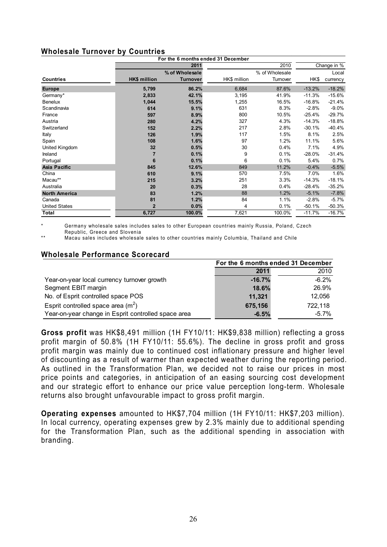### **Wholesale Turnover by Countries**

| For the 6 months ended 31 December |                     |                 |              |                |          |             |
|------------------------------------|---------------------|-----------------|--------------|----------------|----------|-------------|
|                                    |                     | 2011            |              | 2010           |          | Change in % |
|                                    |                     | % of Wholesale  |              | % of Wholesale |          | Local       |
| <b>Countries</b>                   | <b>HK\$</b> million | <b>Turnover</b> | HK\$ million | Turnover       | HK\$     | currency    |
| <b>Europe</b>                      | 5,799               | 86.2%           | 6,684        | 87.6%          | $-13.2%$ | $-18.2%$    |
| Germany*                           | 2,833               | 42.1%           | 3,195        | 41.9%          | $-11.3%$ | $-15.6%$    |
| <b>Benelux</b>                     | 1,044               | 15.5%           | 1,255        | 16.5%          | $-16.8%$ | $-21.4%$    |
| Scandinavia                        | 614                 | 9.1%            | 631          | 8.3%           | $-2.8%$  | $-9.0%$     |
| France                             | 597                 | 8.9%            | 800          | 10.5%          | $-25.4%$ | $-29.7%$    |
| Austria                            | 280                 | 4.2%            | 327          | 4.3%           | $-14.3%$ | $-18.8%$    |
| Switzerland                        | 152                 | 2.2%            | 217          | 2.8%           | $-30.1%$ | $-40.4%$    |
| Italy                              | 126                 | 1.9%            | 117          | 1.5%           | 8.1%     | 2.5%        |
| Spain                              | 108                 | 1.6%            | 97           | 1.2%           | 11.1%    | 5.6%        |
| United Kingdom                     | 32                  | 0.5%            | 30           | 0.4%           | 7.1%     | 4.9%        |
| Ireland                            |                     | 0.1%            | 9            | 0.1%           | $-28.0%$ | $-31.4%$    |
| Portugal                           | 6                   | 0.1%            | 6            | 0.1%           | 5.4%     | 0.7%        |
| <b>Asia Pacific</b>                | 845                 | 12.6%           | 849          | 11.2%          | $-0.4%$  | $-5.5%$     |
| China                              | 610                 | 9.1%            | 570          | 7.5%           | 7.0%     | 1.6%        |
| Macau**                            | 215                 | 3.2%            | 251          | 3.3%           | $-14.3%$ | $-18.1%$    |
| Australia                          | 20                  | 0.3%            | 28           | 0.4%           | $-28.4%$ | $-35.2%$    |
| <b>North America</b>               | 83                  | 1.2%            | 88           | 1.2%           | $-5.1%$  | $-7.8%$     |
| Canada                             | 81                  | 1.2%            | 84           | 1.1%           | $-2.8%$  | $-5.7%$     |
| <b>United States</b>               | $\overline{2}$      | 0.0%            | 4            | 0.1%           | $-50.1%$ | $-50.3%$    |
| Total                              | 6,727               | 100.0%          | 7,621        | 100.0%         | $-11.7%$ | $-16.7%$    |

Germany wholesale sales includes sales to other European countries mainly Russia, Poland, Czech Republic, Greece and Slovenia

\*\* Macau sales includes wholesale sales to other countries mainly Columbia, Thailand and Chile

#### **Wholesale Performance Scorecard**

|                                                     | For the 6 months ended 31 December |         |
|-----------------------------------------------------|------------------------------------|---------|
|                                                     | 2011                               | 2010    |
| Year-on-year local currency turnover growth         | $-16.7%$                           | $-6.2%$ |
| Segment EBIT margin                                 | 18.6%                              | 26.9%   |
| No. of Esprit controlled space POS                  | 11,321                             | 12.056  |
| Esprit controlled space area $(m^2)$                | 675,156                            | 722,118 |
| Year-on-year change in Esprit controlled space area | $-6.5%$                            | -5.7%   |

**Gross profit** was HK\$8,491 million (1H FY10/11: HK\$9,838 million) reflecting a gross profit margin of 50.8% (1H FY10/11: 55.6%). The decline in gross profit and gross profit margin was mainly due to continued cost inflationary pressure and higher level of discounting as a result of warmer than expected weather during the reporting period. As outlined in the Transformation Plan, we decided not to raise our prices in most price points and categories, in anticipation of an easing sourcing cost development and our strategic effort to enhance our price value perception long-term. Wholesale returns also brought unfavourable impact to gross profit margin.

**Operating expenses** amounted to HK\$7,704 million (1H FY10/11: HK\$7,203 million). In local currency, operating expenses grew by 2.3% mainly due to additional spending for the Transformation Plan, such as the additional spending in association with branding.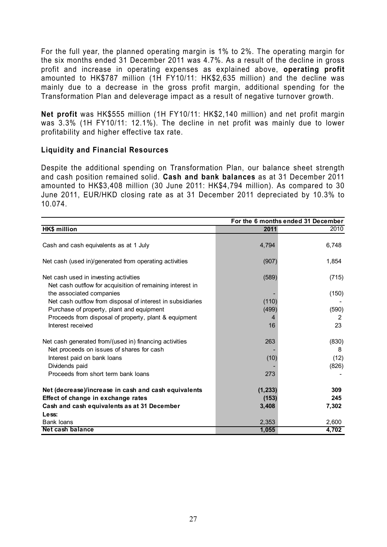For the full year, the planned operating margin is 1% to 2%. The operating margin for the six months ended 31 December 2011 was 4.7%. As a result of the decline in gross profit and increase in operating expenses as explained above, **operating profit** amounted to HK\$787 million (1H FY10/11: HK\$2,635 million) and the decline was mainly due to a decrease in the gross profit margin, additional spending for the Transformation Plan and deleverage impact as a result of negative turnover growth.

**Net profit** was HK\$555 million (1H FY10/11: HK\$2,140 million) and net profit margin was 3.3% (1H FY10/11: 12.1%). The decline in net profit was mainly due to lower profitability and higher effective tax rate.

### **Liquidity and Financial Resources**

Despite the additional spending on Transformation Plan, our balance sheet strength and cash position remained solid. **Cash and bank balances** as at 31 December 2011 amounted to HK\$3,408 million (30 June 2011: HK\$4,794 million). As compared to 30 June 2011, EUR/HKD closing rate as at 31 December 2011 depreciated by 10.3% to 10.074.

|                                                            | For the 6 months ended 31 December |       |  |
|------------------------------------------------------------|------------------------------------|-------|--|
| HK\$ million                                               | 2011                               | 2010  |  |
|                                                            |                                    |       |  |
| Cash and cash equivalents as at 1 July                     | 4,794                              | 6,748 |  |
| Net cash (used in)/generated from operating activities     | (907)                              | 1,854 |  |
| Net cash used in investing activities                      | (589)                              | (715) |  |
| Net cash outflow for acquisition of remaining interest in  |                                    |       |  |
| the associated companies                                   |                                    | (150) |  |
| Net cash outflow from disposal of interest in subsidiaries | (110)                              |       |  |
| Purchase of property, plant and equipment                  | (499)                              | (590) |  |
| Proceeds from disposal of property, plant & equipment      | 4                                  | 2     |  |
| Interest received                                          | 16                                 | 23    |  |
| Net cash generated from/(used in) financing activities     | 263                                | (830) |  |
| Net proceeds on issues of shares for cash                  |                                    | 8     |  |
| Interest paid on bank loans                                | (10)                               | (12)  |  |
| Dividends paid                                             |                                    | (826) |  |
| Proceeds from short term bank loans                        | 273                                |       |  |
| Net (decrease)/increase in cash and cash equivalents       | (1, 233)                           | 309   |  |
| Effect of change in exchange rates                         | (153)                              | 245   |  |
| Cash and cash equivalents as at 31 December                | 3,408                              | 7,302 |  |
| Less:                                                      |                                    |       |  |
| Bank loans                                                 | 2,353                              | 2,600 |  |
| Net cash balance                                           | 1,055                              | 4,702 |  |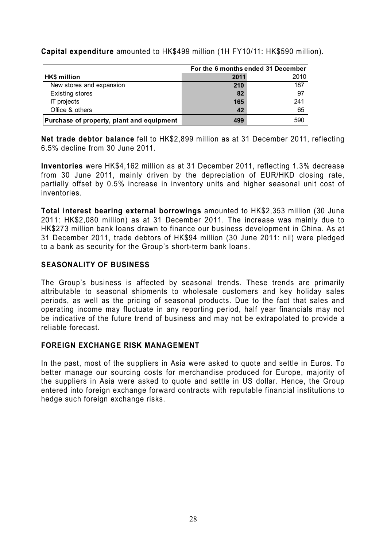**Capital expenditure** amounted to HK\$499 million (1H FY10/11: HK\$590 million).

|                                           |      | For the 6 months ended 31 December |
|-------------------------------------------|------|------------------------------------|
| HK\$ million                              | 2011 | 2010                               |
| New stores and expansion                  | 210  | 187                                |
| <b>Existing stores</b>                    | 82   | 97                                 |
| IT projects                               | 165  | 241                                |
| Office & others                           | 42   | 65                                 |
| Purchase of property, plant and equipment | 499  | 590                                |

**Net trade debtor balance** fell to HK\$2,899 million as at 31 December 2011, reflecting 6.5% decline from 30 June 2011.

**Inventories** were HK\$4,162 million as at 31 December 2011, reflecting 1.3% decrease from 30 June 2011, mainly driven by the depreciation of EUR/HKD closing rate, partially offset by 0.5% increase in inventory units and higher seasonal unit cost of inventories.

**Total interest bearing external borrowings** amounted to HK\$2,353 million (30 June 2011: HK\$2,080 million) as at 31 December 2011. The increase was mainly due to HK\$273 million bank loans drawn to finance our business development in China. As at 31 December 2011, trade debtors of HK\$94 million (30 June 2011: nil) were pledged to a bank as security for the Group's short-term bank loans.

### **SEASONALITY OF BUSINESS**

The Group's business is affected by seasonal trends. These trends are primarily attributable to seasonal shipments to wholesale customers and key holiday sales periods, as well as the pricing of seasonal products. Due to the fact that sales and operating income may fluctuate in any reporting period, half year financials may not be indicative of the future trend of business and may not be extrapolated to provide a reliable forecast.

### **FOREIGN EXCHANGE RISK MANAGEMENT**

In the past, most of the suppliers in Asia were asked to quote and settle in Euros. To better manage our sourcing costs for merchandise produced for Europe, majority of the suppliers in Asia were asked to quote and settle in US dollar. Hence, the Group entered into foreign exchange forward contracts with reputable financial institutions to hedge such foreign exchange risks.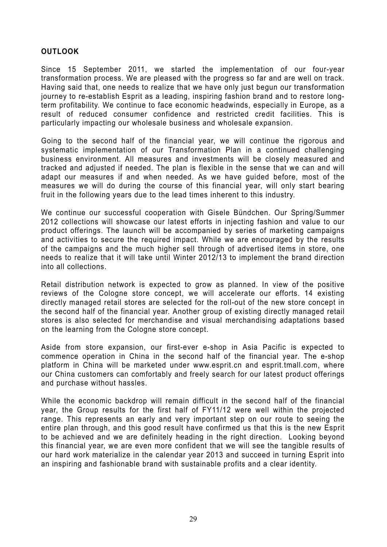### **OUTLOOK**

Since 15 September 2011, we started the implementation of our four-year transformation process. We are pleased with the progress so far and are well on track. Having said that, one needs to realize that we have only just begun our transformation journey to re-establish Esprit as a leading, inspiring fashion brand and to restore longterm profitability. We continue to face economic headwinds, especially in Europe, as a result of reduced consumer confidence and restricted credit facilities. This is particularly impacting our wholesale business and wholesale expansion.

Going to the second half of the financial year, we will continue the rigorous and systematic implementation of our Transformation Plan in a continued challenging business environment. All measures and investments will be closely measured and tracked and adjusted if needed. The plan is flexible in the sense that we can and will adapt our measures if and when needed. As we have guided before, most of the measures we will do during the course of this financial year, will only start bearing fruit in the following years due to the lead times inherent to this industry.

We continue our successful cooperation with Gisele Bündchen. Our Spring/Summer 2012 collections will showcase our latest efforts in injecting fashion and value to our product offerings. The launch will be accompanied by series of marketing campaigns and activities to secure the required impact. While we are encouraged by the results of the campaigns and the much higher sell through of advertised items in store, one needs to realize that it will take until Winter 2012/13 to implement the brand direction into all collections.

Retail distribution network is expected to grow as planned. In view of the positive reviews of the Cologne store concept, we will accelerate our efforts. 14 existing directly managed retail stores are selected for the roll-out of the new store concept in the second half of the financial year. Another group of existing directly managed retail stores is also selected for merchandise and visual merchandising adaptations based on the learning from the Cologne store concept.

Aside from store expansion, our first-ever e-shop in Asia Pacific is expected to commence operation in China in the second half of the financial year. The e-shop platform in China will be marketed under www.esprit.cn and esprit.tmall.com, where our China customers can comfortably and freely search for our latest product offerings and purchase without hassles.

While the economic backdrop will remain difficult in the second half of the financial year, the Group results for the first half of FY11/12 were well within the projected range. This represents an early and very important step on our route to seeing the entire plan through, and this good result have confirmed us that this is the new Esprit to be achieved and we are definitely heading in the right direction. Looking beyond this financial year, we are even more confident that we will see the tangible results of our hard work materialize in the calendar year 2013 and succeed in turning Esprit into an inspiring and fashionable brand with sustainable profits and a clear identity.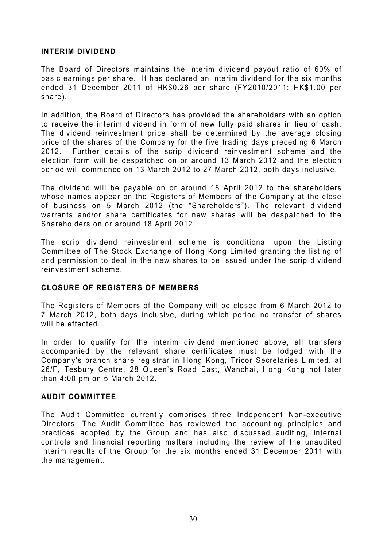### **INTERIM DIVIDEND**

The Board of Directors maintains the interim dividend payout ratio of 60% of basic earnings per share. It has declared an interim dividend for the six months ended 31 December 2011 of HK\$0.26 per share (FY2010/2011: HK\$1.00 per share).

In addition, the Board of Directors has provided the shareholders with an option to receive the interim dividend in form of new fully paid shares in lieu of cash. The dividend reinvestment price shall be determined by the average closing price of the shares of the Company for the five trading days preceding 6 March 2012. Further details of the scrip dividend reinvestment scheme and the election form will be despatched on or around 13 March 2012 and the election period will commence on 13 March 2012 to 27 March 2012, both days inclusive.

The dividend will be payable on or around 18 April 2012 to the shareholders whose names appear on the Registers of Members of the Company at the close of business on 5 March 2012 (the "Shareholders"). The relevant dividend warrants and/or share certificates for new shares will be despatched to the Shareholders on or around 18 April 2012.

The scrip dividend reinvestment scheme is conditional upon the Listing Committee of The Stock Exchange of Hong Kong Limited granting the listing of and permission to deal in the new shares to be issued under the scrip dividend reinvestment scheme.

### **CLOSURE OF REGISTERS OF MEMBERS**

The Registers of Members of the Company will be closed from 6 March 2012 to 7 March 2012, both days inclusive, during which period no transfer of shares will be effected.

In order to qualify for the interim dividend mentioned above, all transfers accompanied by the relevant share certificates must be lodged with the Company's branch share registrar in Hong Kong, Tricor Secretaries Limited, at 26/F, Tesbury Centre, 28 Queen's Road East, Wanchai, Hong Kong not later than 4:00 pm on 5 March 2012.

### **AUDIT COMMITTEE**

The Audit Committee currently comprises three Independent Non-executive Directors. The Audit Committee has reviewed the accounting principles and practices adopted by the Group and has also discussed auditing, internal controls and financial reporting matters including the review of the unaudited interim results of the Group for the six months ended 31 December 2011 with the management.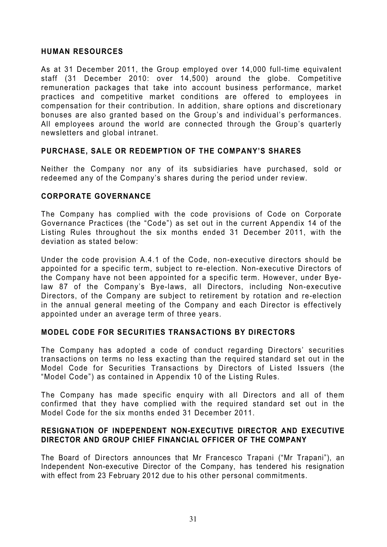### **HUMAN RESOURCES**

As at 31 December 2011, the Group employed over 14,000 full-time equivalent staff (31 December 2010: over 14,500) around the globe. Competitive remuneration packages that take into account business performance, market practices and competitive market conditions are offered to employees in compensation for their contribution. In addition, share options and discretionary bonuses are also granted based on the Group's and individual's performances. All employees around the world are connected through the Group's quarterly newsletters and global intranet.

### **PURCHASE, SALE OR REDEMPTION OF THE COMPANY'S SHARES**

Neither the Company nor any of its subsidiaries have purchased, sold or redeemed any of the Company's shares during the period under review.

#### **CORPORATE GOVERNANCE**

The Company has complied with the code provisions of Code on Corporate Governance Practices (the "Code") as set out in the current Appendix 14 of the Listing Rules throughout the six months ended 31 December 2011, with the deviation as stated below:

Under the code provision A.4.1 of the Code, non-executive directors should be appointed for a specific term, subject to re-election. Non-executive Directors of the Company have not been appointed for a specific term. However, under Byelaw 87 of the Company's Bye-laws, all Directors, including Non-executive Directors, of the Company are subject to retirement by rotation and re-election in the annual general meeting of the Company and each Director is effectively appointed under an average term of three years.

### **MODEL CODE FOR SECURITIES TRANSACTIONS BY DIRECTORS**

The Company has adopted a code of conduct regarding Directors' securities transactions on terms no less exacting than the required standard set out in the Model Code for Securities Transactions by Directors of Listed Issuers (the "Model Code") as contained in Appendix 10 of the Listing Rules.

The Company has made specific enquiry with all Directors and all of them confirmed that they have complied with the required standard set out in the Model Code for the six months ended 31 December 2011.

### **RESIGNATION OF INDEPENDENT NON-EXECUTIVE DIRECTOR AND EXECUTIVE DIRECTOR AND GROUP CHIEF FINANCIAL OFFICER OF THE COMPANY**

The Board of Directors announces that Mr Francesco Trapani ("Mr Trapani"), an Independent Non-executive Director of the Company, has tendered his resignation with effect from 23 February 2012 due to his other personal commitments.